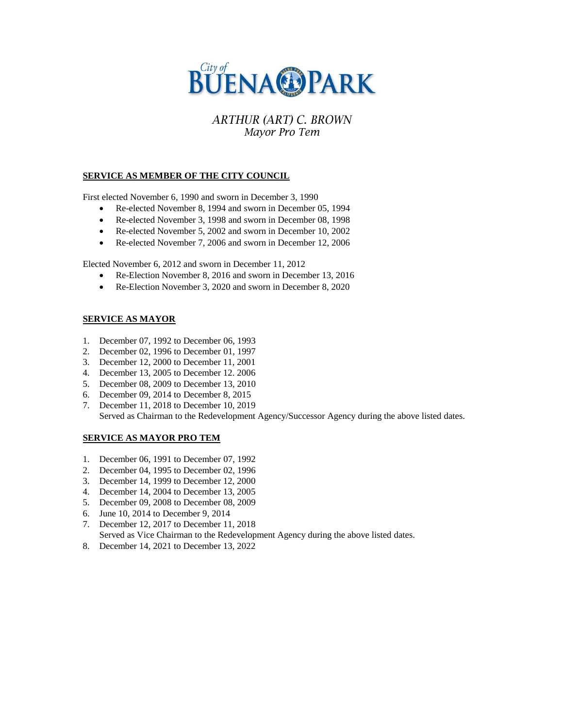

# **ARTHUR (ART) C. BROWN** Mayor Pro Tem

### **SERVICE AS MEMBER OF THE CITY COUNCIL**

First elected November 6, 1990 and sworn in December 3, 1990

- Re-elected November 8, 1994 and sworn in December 05, 1994
- Re-elected November 3, 1998 and sworn in December 08, 1998
- Re-elected November 5, 2002 and sworn in December 10, 2002
- Re-elected November 7, 2006 and sworn in December 12, 2006

Elected November 6, 2012 and sworn in December 11, 2012

- Re-Election November 8, 2016 and sworn in December 13, 2016
- Re-Election November 3, 2020 and sworn in December 8, 2020

### **SERVICE AS MAYOR**

- 1. December 07, 1992 to December 06, 1993
- 2. December 02, 1996 to December 01, 1997
- 3. December 12, 2000 to December 11, 2001
- 4. December 13, 2005 to December 12. 2006
- 5. December 08, 2009 to December 13, 2010
- 6. December 09, 2014 to December 8, 2015
- 7. December 11, 2018 to December 10, 2019 Served as Chairman to the Redevelopment Agency/Successor Agency during the above listed dates.

#### **SERVICE AS MAYOR PRO TEM**

- 1. December 06, 1991 to December 07, 1992
- 2. December 04, 1995 to December 02, 1996
- 3. December 14, 1999 to December 12, 2000
- 4. December 14, 2004 to December 13, 2005
- 5. December 09, 2008 to December 08, 2009
- 6. June 10, 2014 to December 9, 2014
- 7. December 12, 2017 to December 11, 2018

Served as Vice Chairman to the Redevelopment Agency during the above listed dates.

8. December 14, 2021 to December 13, 2022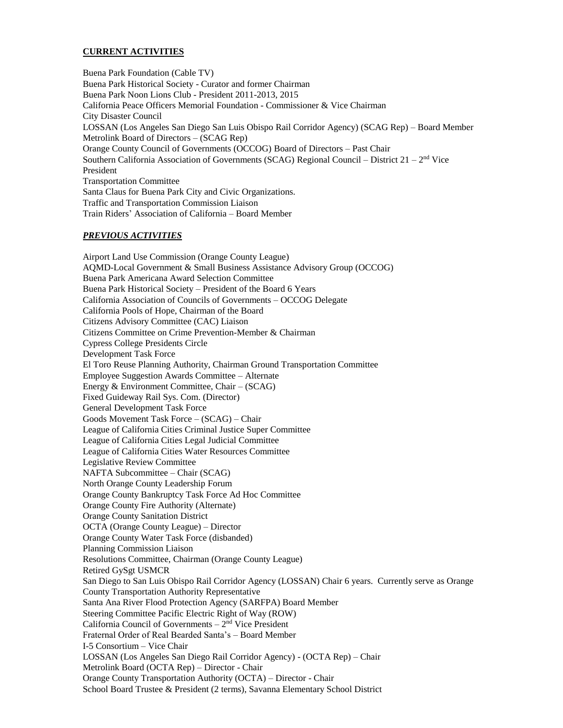### **CURRENT ACTIVITIES**

Buena Park Foundation (Cable TV) Buena Park Historical Society - Curator and former Chairman Buena Park Noon Lions Club - President 2011-2013, 2015 California Peace Officers Memorial Foundation - Commissioner & Vice Chairman City Disaster Council LOSSAN (Los Angeles San Diego San Luis Obispo Rail Corridor Agency) (SCAG Rep) – Board Member Metrolink Board of Directors – (SCAG Rep) Orange County Council of Governments (OCCOG) Board of Directors – Past Chair Southern California Association of Governments (SCAG) Regional Council – District  $21 - 2<sup>nd</sup>$  Vice President Transportation Committee Santa Claus for Buena Park City and Civic Organizations. Traffic and Transportation Commission Liaison Train Riders' Association of California – Board Member

#### *PREVIOUS ACTIVITIES*

Airport Land Use Commission (Orange County League) AQMD-Local Government & Small Business Assistance Advisory Group (OCCOG) Buena Park Americana Award Selection Committee Buena Park Historical Society – President of the Board 6 Years California Association of Councils of Governments – OCCOG Delegate California Pools of Hope, Chairman of the Board Citizens Advisory Committee (CAC) Liaison Citizens Committee on Crime Prevention-Member & Chairman Cypress College Presidents Circle Development Task Force El Toro Reuse Planning Authority, Chairman Ground Transportation Committee Employee Suggestion Awards Committee – Alternate Energy & Environment Committee, Chair – (SCAG) Fixed Guideway Rail Sys. Com. (Director) General Development Task Force Goods Movement Task Force – (SCAG) – Chair League of California Cities Criminal Justice Super Committee League of California Cities Legal Judicial Committee League of California Cities Water Resources Committee Legislative Review Committee NAFTA Subcommittee – Chair (SCAG) North Orange County Leadership Forum Orange County Bankruptcy Task Force Ad Hoc Committee Orange County Fire Authority (Alternate) Orange County Sanitation District OCTA (Orange County League) – Director Orange County Water Task Force (disbanded) Planning Commission Liaison Resolutions Committee, Chairman (Orange County League) Retired GySgt USMCR San Diego to San Luis Obispo Rail Corridor Agency (LOSSAN) Chair 6 years. Currently serve as Orange County Transportation Authority Representative Santa Ana River Flood Protection Agency (SARFPA) Board Member Steering Committee Pacific Electric Right of Way (ROW) California Council of Governments  $-2<sup>nd</sup>$  Vice President Fraternal Order of Real Bearded Santa's – Board Member I-5 Consortium – Vice Chair LOSSAN (Los Angeles San Diego Rail Corridor Agency) - (OCTA Rep) – Chair Metrolink Board (OCTA Rep) – Director - Chair Orange County Transportation Authority (OCTA) – Director - Chair School Board Trustee & President (2 terms), Savanna Elementary School District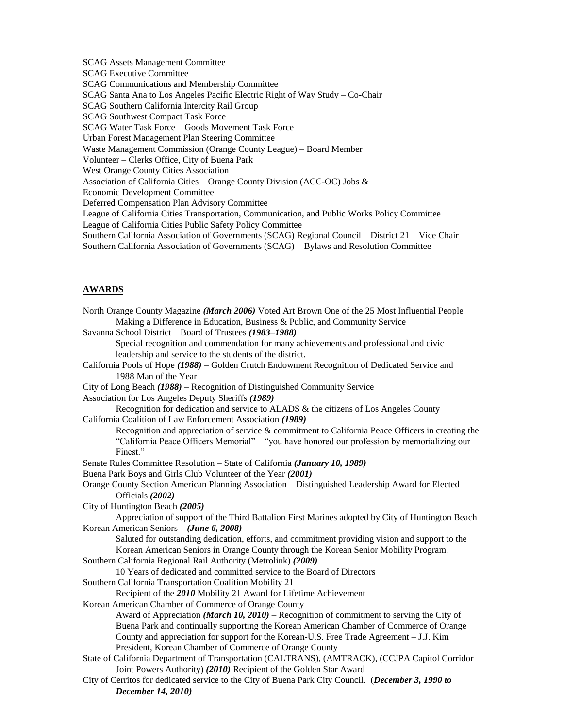SCAG Assets Management Committee SCAG Executive Committee SCAG Communications and Membership Committee SCAG Santa Ana to Los Angeles Pacific Electric Right of Way Study – Co-Chair SCAG Southern California Intercity Rail Group SCAG Southwest Compact Task Force SCAG Water Task Force – Goods Movement Task Force Urban Forest Management Plan Steering Committee Waste Management Commission (Orange County League) – Board Member Volunteer – Clerks Office, City of Buena Park West Orange County Cities Association Association of California Cities – Orange County Division (ACC-OC) Jobs & Economic Development Committee Deferred Compensation Plan Advisory Committee League of California Cities Transportation, Communication, and Public Works Policy Committee League of California Cities Public Safety Policy Committee Southern California Association of Governments (SCAG) Regional Council – District 21 – Vice Chair Southern California Association of Governments (SCAG) – Bylaws and Resolution Committee

### **AWARDS**

| North Orange County Magazine (March 2006) Voted Art Brown One of the 25 Most Influential People      |
|------------------------------------------------------------------------------------------------------|
| Making a Difference in Education, Business & Public, and Community Service                           |
| Savanna School District - Board of Trustees (1983-1988)                                              |
| Special recognition and commendation for many achievements and professional and civic                |
| leadership and service to the students of the district.                                              |
| California Pools of Hope (1988) – Golden Crutch Endowment Recognition of Dedicated Service and       |
| 1988 Man of the Year                                                                                 |
| City of Long Beach (1988) – Recognition of Distinguished Community Service                           |
| Association for Los Angeles Deputy Sheriffs (1989)                                                   |
| Recognition for dedication and service to ALADS & the citizens of Los Angeles County                 |
| California Coalition of Law Enforcement Association (1989)                                           |
| Recognition and appreciation of service $\&$ commitment to California Peace Officers in creating the |
| "California Peace Officers Memorial" – "you have honored our profession by memorializing our         |
| Finest."                                                                                             |
| Senate Rules Committee Resolution - State of California (January 10, 1989)                           |
| Buena Park Boys and Girls Club Volunteer of the Year (2001)                                          |
| Orange County Section American Planning Association - Distinguished Leadership Award for Elected     |
| Officials (2002)                                                                                     |
| City of Huntington Beach (2005)                                                                      |
| Appreciation of support of the Third Battalion First Marines adopted by City of Huntington Beach     |
| Korean American Seniors - (June 6, 2008)                                                             |
| Saluted for outstanding dedication, efforts, and commitment providing vision and support to the      |
| Korean American Seniors in Orange County through the Korean Senior Mobility Program.                 |
| Southern California Regional Rail Authority (Metrolink) (2009)                                       |
| 10 Years of dedicated and committed service to the Board of Directors                                |
| Southern California Transportation Coalition Mobility 21                                             |
| Recipient of the 2010 Mobility 21 Award for Lifetime Achievement                                     |
| Korean American Chamber of Commerce of Orange County                                                 |
| Award of Appreciation ( <i>March 10, 2010</i> ) – Recognition of commitment to serving the City of   |
| Buena Park and continually supporting the Korean American Chamber of Commerce of Orange              |
| County and appreciation for support for the Korean-U.S. Free Trade Agreement – J.J. Kim              |
| President, Korean Chamber of Commerce of Orange County                                               |
| State of California Department of Transportation (CALTRANS), (AMTRACK), (CCJPA Capitol Corridor      |
| Joint Powers Authority) (2010) Recipient of the Golden Star Award                                    |
| City of Cerritos for dedicated service to the City of Buena Park City Council. (December 3, 1990 to  |
| December 14, 2010)                                                                                   |